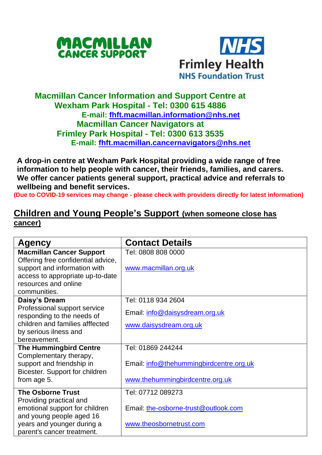



## **Macmillan Cancer Information and Support Centre at Wexham Park Hospital - Tel: 0300 615 4886 E-mail: [fhft.macmillan.information@nhs.net](mailto:fhft.macmillan.information@nhs.net) Macmillan Cancer Navigators at Frimley Park Hospital - Tel: 0300 613 3535 E-mail: [fhft.macmillan.cancernavigators@nhs.net](mailto:fhft.macmillan.cancernavigators@nhs.net)**

**A drop-in centre at Wexham Park Hospital providing a wide range of free information to help people with cancer, their friends, families, and carers. We offer cancer patients general support, practical advice and referrals to wellbeing and benefit services.**

**(Due to COVID-19 services may change - please check with providers directly for latest information)**

## **Children and Young People's Support (when someone close has cancer)**

| Agency                                                                               | <b>Contact Details</b>                  |  |
|--------------------------------------------------------------------------------------|-----------------------------------------|--|
| <b>Macmillan Cancer Support</b><br>Offering free confidential advice,                | Tel: 0808 808 0000                      |  |
| support and information with                                                         | www.macmillan.org.uk                    |  |
| access to appropriate up-to-date<br>resources and online                             |                                         |  |
| communities.                                                                         |                                         |  |
| Daisy's Dream                                                                        | Tel: 0118 934 2604                      |  |
| Professional support service<br>responding to the needs of                           | Email: info@daisysdream.org.uk          |  |
| children and families afffected<br>by serious ilness and                             | www.daisysdream.org.uk                  |  |
| bereavement.                                                                         |                                         |  |
| <b>The Hummingbird Centre</b>                                                        | Tel: 01869 244244                       |  |
| Complementary therapy,<br>support and friendship in                                  | Email: info@thehummingbirdcentre.org.uk |  |
| Bicester. Support for children<br>from age 5.                                        | www.thehummingbirdcentre.org.uk         |  |
| <b>The Osborne Trust</b>                                                             | Tel: 07712 089273                       |  |
| Providing practical and<br>emotional support for children                            | Email: the-osborne-trust@outlook.com    |  |
| and young people aged 16<br>years and younger during a<br>parent's cancer treatment. | www.theosbornetrust.com                 |  |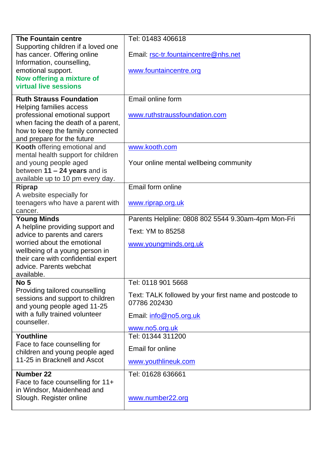| <b>The Fountain centre</b>                                         | Tel: 01483 406618                                      |  |  |
|--------------------------------------------------------------------|--------------------------------------------------------|--|--|
| Supporting children if a loved one<br>has cancer. Offering online  | Email: rsc-tr.fountaincentre@nhs.net                   |  |  |
| Information, counselling,                                          |                                                        |  |  |
| emotional support.<br>Now offering a mixture of                    | www.fountaincentre.org                                 |  |  |
| virtual live sessions                                              |                                                        |  |  |
| <b>Ruth Strauss Foundation</b>                                     | Email online form                                      |  |  |
| Helping families access<br>professional emotional support          |                                                        |  |  |
| when facing the death of a parent,                                 | www.ruthstraussfoundation.com                          |  |  |
| how to keep the family connected                                   |                                                        |  |  |
| and prepare for the future                                         |                                                        |  |  |
| Kooth offering emotional and<br>mental health support for children | www.kooth.com                                          |  |  |
| and young people aged                                              | Your online mental wellbeing community                 |  |  |
| between $11 - 24$ years and is                                     |                                                        |  |  |
| available up to 10 pm every day.<br>Riprap                         | Email form online                                      |  |  |
| A website especially for                                           |                                                        |  |  |
| teenagers who have a parent with                                   | www.riprap.org.uk                                      |  |  |
| cancer.<br><b>Young Minds</b>                                      | Parents Helpline: 0808 802 5544 9.30am-4pm Mon-Fri     |  |  |
| A helpline providing support and                                   | Text: YM to 85258                                      |  |  |
| advice to parents and carers<br>worried about the emotional        |                                                        |  |  |
| wellbeing of a young person in                                     | www.youngminds.org.uk                                  |  |  |
| their care with confidential expert                                |                                                        |  |  |
| advice. Parents webchat<br>available.                              |                                                        |  |  |
| No <sub>5</sub>                                                    | Tel: 0118 901 5668                                     |  |  |
| Providing tailored counselling                                     | Text: TALK followed by your first name and postcode to |  |  |
| sessions and support to children<br>and young people aged 11-25    | 07786 202430                                           |  |  |
| with a fully trained volunteer<br>counseller.                      | Email: info@no5.org.uk                                 |  |  |
|                                                                    | www.no5.org.uk                                         |  |  |
| Youthline                                                          | Tel: 01344 311200                                      |  |  |
| Face to face counselling for<br>children and young people aged     | Email for online                                       |  |  |
| 11-25 in Bracknell and Ascot                                       | www.youthlineuk.com                                    |  |  |
| Number 22                                                          | Tel: 01628 636661                                      |  |  |
| Face to face counselling for 11+<br>in Windsor, Maidenhead and     |                                                        |  |  |
| Slough. Register online                                            | www.number22.org                                       |  |  |
|                                                                    |                                                        |  |  |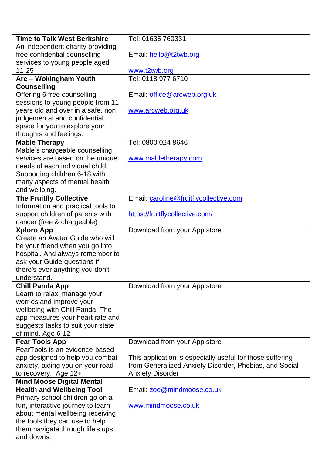| <b>Time to Talk West Berkshire</b>                             | Tel: 01635 760331                                         |  |  |  |
|----------------------------------------------------------------|-----------------------------------------------------------|--|--|--|
| An independent charity providing                               |                                                           |  |  |  |
| free confidential counselling                                  | Email: hello@t2twb.org                                    |  |  |  |
| services to young people aged                                  |                                                           |  |  |  |
| 11-25                                                          | www.t2twb.org                                             |  |  |  |
| Arc - Wokingham Youth                                          | Tel: 0118 977 6710                                        |  |  |  |
| <b>Counselling</b>                                             |                                                           |  |  |  |
| Offering 6 free counselling                                    | Email: office@arcweb.org.uk                               |  |  |  |
| sessions to young people from 11                               |                                                           |  |  |  |
| years old and over in a safe, non                              | www.arcweb.org.uk                                         |  |  |  |
| judgemental and confidential                                   |                                                           |  |  |  |
| space for you to explore your                                  |                                                           |  |  |  |
| thoughts and feelings.                                         |                                                           |  |  |  |
| <b>Mable Therapy</b>                                           | Tel: 0800 024 8646                                        |  |  |  |
| Mable's chargeable counselling                                 |                                                           |  |  |  |
| services are based on the unique                               | www.mabletherapy.com                                      |  |  |  |
| needs of each individual child.                                |                                                           |  |  |  |
| Supporting children 6-18 with                                  |                                                           |  |  |  |
| many aspects of mental health                                  |                                                           |  |  |  |
| and wellbing.                                                  |                                                           |  |  |  |
| <b>The Fruitfly Collective</b>                                 | Email: caroline@fruitflycollective.com                    |  |  |  |
| Information and practical tools to                             |                                                           |  |  |  |
| support children of parents with                               | https://fruitflycollective.com/                           |  |  |  |
| cancer (free & chargeable)                                     |                                                           |  |  |  |
| <b>Xploro App</b>                                              | Download from your App store                              |  |  |  |
| Create an Avatar Guide who will                                |                                                           |  |  |  |
| be your friend when you go into                                |                                                           |  |  |  |
| hospital. And always remember to                               |                                                           |  |  |  |
| ask your Guide questions if<br>there's ever anything you don't |                                                           |  |  |  |
| understand.                                                    |                                                           |  |  |  |
| <b>Chill Panda App</b>                                         | Download from your App store                              |  |  |  |
| Learn to relax, manage your                                    |                                                           |  |  |  |
| worries and improve your                                       |                                                           |  |  |  |
| wellbeing with Chill Panda. The                                |                                                           |  |  |  |
| app measures your heart rate and                               |                                                           |  |  |  |
| suggests tasks to suit your state                              |                                                           |  |  |  |
| of mind. Age 6-12                                              |                                                           |  |  |  |
| <b>Fear Tools App</b>                                          | Download from your App store                              |  |  |  |
| FearTools is an evidence-based                                 |                                                           |  |  |  |
| app designed to help you combat                                | This application is especially useful for those suffering |  |  |  |
| anxiety, aiding you on your road                               | from Generalized Anxiety Disorder, Phobias, and Social    |  |  |  |
| to recovery. Age 12+                                           | <b>Anxiety Disorder</b>                                   |  |  |  |
| <b>Mind Moose Digital Mental</b>                               |                                                           |  |  |  |
| <b>Health and Wellbeing Tool</b>                               | Email: zoe@mindmoose.co.uk                                |  |  |  |
| Primary school children go on a                                |                                                           |  |  |  |
| fun, interactive journey to learn                              | www.mindmoose.co.uk                                       |  |  |  |
| about mental wellbeing receiving                               |                                                           |  |  |  |
| the tools they can use to help                                 |                                                           |  |  |  |
| them navigate through life's ups                               |                                                           |  |  |  |
| and downs.                                                     |                                                           |  |  |  |